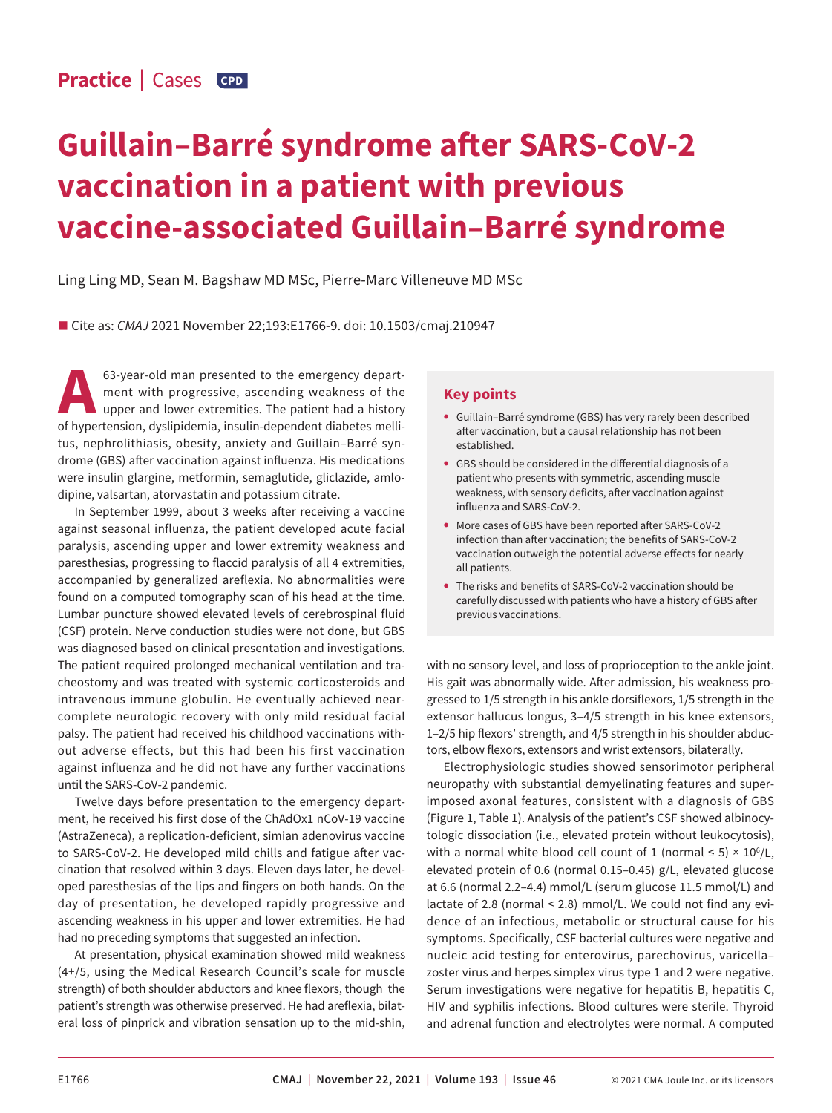# **Guillain–Barré syndrome after SARS-CoV-2 vaccination in a patient with previous vaccine-associated Guillain–Barré syndrome**

Ling Ling MD, Sean M. Bagshaw MD MSc, Pierre-Marc Villeneuve MD MSc

■ Cite as: *CMAJ* 2021 November 22;193:E1766-9. doi: 10.1503/cmaj.210947

63-year-old man presented to the emergency depart-<br>ment with progressive, ascending weakness of the<br>upper and lower extremities. The patient had a history<br>of hypertension dyslinidemia insulin-dependent diabetes melliment with progressive, ascending weakness of the upper and lower extremities. The patient had a history of hypertension, dyslipidemia, insulin-dependent diabetes mellitus, nephrolithiasis, obesity, anxiety and Guillain–Barré syndrome (GBS) after vaccination against influenza. His medications were insulin glargine, metformin, semaglutide, gliclazide, amlodipine, valsartan, atorvastatin and potassium citrate.

In September 1999, about 3 weeks after receiving a vaccine against seasonal influenza, the patient developed acute facial paralysis, ascending upper and lower extremity weakness and paresthesias, progressing to flaccid paralysis of all 4 extremities, accompanied by generalized areflexia. No abnormalities were found on a computed tomography scan of his head at the time. Lumbar puncture showed elevated levels of cerebrospinal fluid (CSF) protein. Nerve conduction studies were not done, but GBS was diagnosed based on clinical presentation and investigations. The patient required prolonged mechanical ventilation and tracheostomy and was treated with systemic corticosteroids and intravenous immune globulin. He eventually achieved nearcomplete neurologic recovery with only mild residual facial palsy. The patient had received his childhood vaccinations without adverse effects, but this had been his first vaccination against influenza and he did not have any further vaccinations until the SARS-CoV-2 pandemic.

Twelve days before presentation to the emergency department, he received his first dose of the ChAdOx1 nCoV-19 vaccine (AstraZeneca), a replication-deficient, simian adenovirus vaccine to SARS-CoV-2. He developed mild chills and fatigue after vaccination that resolved within 3 days. Eleven days later, he developed paresthesias of the lips and fingers on both hands. On the day of presentation, he developed rapidly progressive and ascending weakness in his upper and lower extremities. He had had no preceding symptoms that suggested an infection.

At presentation, physical examination showed mild weakness (4+/5, using the Medical Research Council's scale for muscle strength) of both shoulder abductors and knee flexors, though the patient's strength was otherwise preserved. He had areflexia, bilateral loss of pinprick and vibration sensation up to the mid-shin,

## **Key points**

- **•** Guillain–Barré syndrome (GBS) has very rarely been described after vaccination, but a causal relationship has not been established.
- **•** GBS should be considered in the differential diagnosis of a patient who presents with symmetric, ascending muscle weakness, with sensory deficits, after vaccination against influenza and SARS-CoV-2.
- **•** More cases of GBS have been reported after SARS-CoV-2 infection than after vaccination; the benefits of SARS-CoV-2 vaccination outweigh the potential adverse effects for nearly all patients.
- **•** The risks and benefits of SARS-CoV-2 vaccination should be carefully discussed with patients who have a history of GBS after previous vaccinations.

with no sensory level, and loss of proprioception to the ankle joint. His gait was abnormally wide. After admission, his weakness progressed to 1/5 strength in his ankle dorsiflexors, 1/5 strength in the extensor hallucus longus, 3–4/5 strength in his knee extensors, 1–2/5 hip flexors' strength, and 4/5 strength in his shoulder abductors, elbow flexors, extensors and wrist extensors, bilaterally.

Electrophysiologic studies showed sensorimotor peripheral neuropathy with substantial demyelinating features and superimposed axonal features, consistent with a diagnosis of GBS (Figure 1, Table 1). Analysis of the patient's CSF showed albinocytologic dissociation (i.e., elevated protein without leukocytosis), with a normal white blood cell count of 1 (normal  $\leq 5$ )  $\times$  10<sup>6</sup>/L, elevated protein of 0.6 (normal 0.15–0.45) g/L, elevated glucose at 6.6 (normal 2.2–4.4) mmol/L (serum glucose 11.5 mmol/L) and lactate of 2.8 (normal < 2.8) mmol/L. We could not find any evidence of an infectious, metabolic or structural cause for his symptoms. Specifically, CSF bacterial cultures were negative and nucleic acid testing for enterovirus, parechovirus, varicella– zoster virus and herpes simplex virus type 1 and 2 were negative. Serum investigations were negative for hepatitis B, hepatitis C, HIV and syphilis infections. Blood cultures were sterile. Thyroid and adrenal function and electrolytes were normal. A computed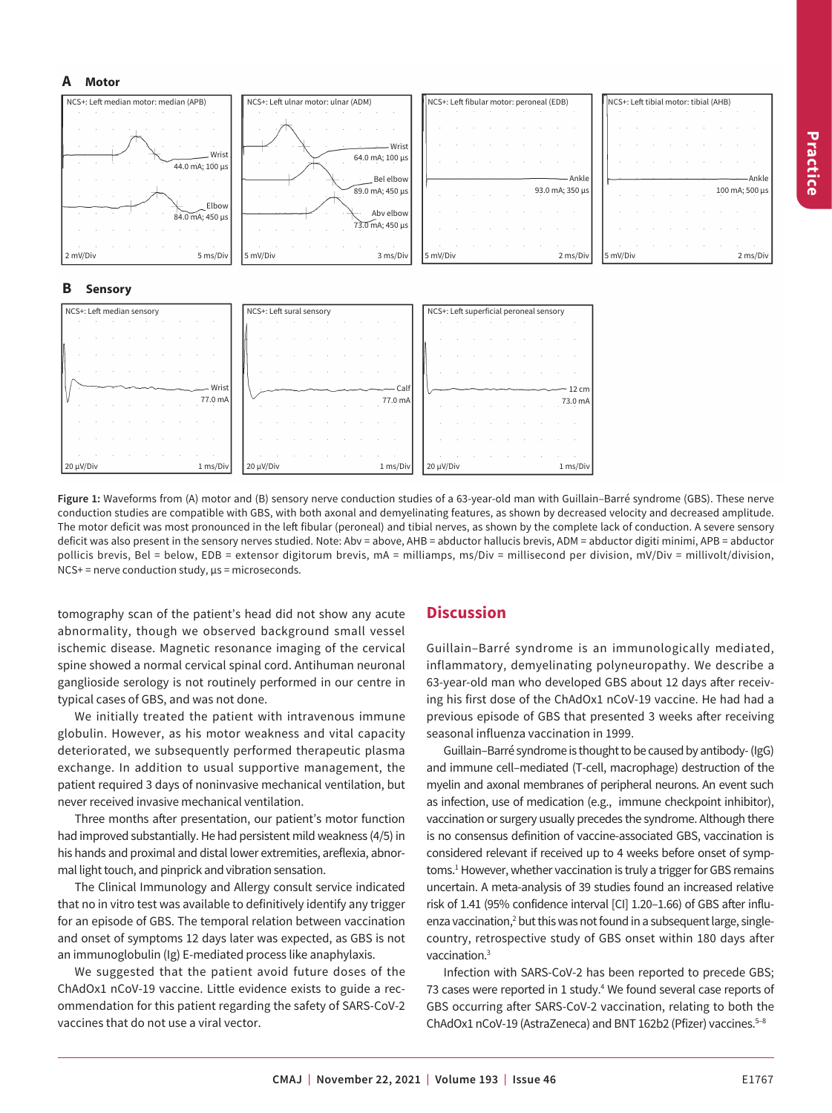#### **A Motor**



**Figure 1:** Waveforms from (A) motor and (B) sensory nerve conduction studies of a 63-year-old man with Guillain–Barré syndrome (GBS). These nerve conduction studies are compatible with GBS, with both axonal and demyelinating features, as shown by decreased velocity and decreased amplitude. The motor deficit was most pronounced in the left fibular (peroneal) and tibial nerves, as shown by the complete lack of conduction. A severe sensory deficit was also present in the sensory nerves studied. Note: Abv = above, AHB = abductor hallucis brevis, ADM = abductor digiti minimi, APB = abductor pollicis brevis, Bel = below, EDB = extensor digitorum brevis, mA = milliamps, ms/Div = millisecond per division, mV/Div = millivolt/division,  $NCS$ + = nerve conduction study,  $\mu$ s = microseconds.

20 µV/Div 1 ms/Div 20 µV/Div 1 ms/Div 20 µV/Div 1 ms/Div

tomography scan of the patient's head did not show any acute abnormality, though we observed background small vessel ischemic disease. Magnetic resonance imaging of the cervical spine showed a normal cervical spinal cord. Antihuman neuronal ganglioside serology is not routinely performed in our centre in typical cases of GBS, and was not done.

We initially treated the patient with intravenous immune globulin. However, as his motor weakness and vital capacity deteriorated, we subsequently performed therapeutic plasma exchange. In addition to usual supportive management, the patient required 3 days of noninvasive mechanical ventilation, but never received invasive mechanical ventilation.

Three months after presentation, our patient's motor function had improved substantially. He had persistent mild weakness (4/5) in his hands and proximal and distal lower extremities, areflexia, abnormal light touch, and pinprick and vibration sensation.

The Clinical Immunology and Allergy consult service indicated that no in vitro test was available to definitively identify any trigger for an episode of GBS. The temporal relation between vaccination and onset of symptoms 12 days later was expected, as GBS is not an immunoglobulin (Ig) E-mediated process like anaphylaxis.

We suggested that the patient avoid future doses of the ChAdOx1 nCoV-19 vaccine. Little evidence exists to guide a recommendation for this patient regarding the safety of SARS-CoV-2 vaccines that do not use a viral vector.

## **Discussion**

Guillain–Barré syndrome is an immunologically mediated, inflammatory, demyelinating polyneuropathy. We describe a 63-year-old man who developed GBS about 12 days after receiving his first dose of the ChAdOx1 nCoV-19 vaccine. He had had a previous episode of GBS that presented 3 weeks after receiving seasonal influenza vaccination in 1999.

Guillain–Barré syndrome is thought to be caused by antibody- (IgG) and immune cell–mediated (T-cell, macrophage) destruction of the myelin and axonal membranes of peripheral neurons. An event such as infection, use of medication (e.g., immune checkpoint inhibitor), vaccination or surgery usually precedes the syndrome. Although there is no consensus definition of vaccine-associated GBS, vaccination is considered relevant if received up to 4 weeks before onset of symptoms.<sup>1</sup> However, whether vaccination is truly a trigger for GBS remains uncertain. A meta-analysis of 39 studies found an increased relative risk of 1.41 (95% confidence interval [CI] 1.20–1.66) of GBS after influenza vaccination,<sup>2</sup> but this was not found in a subsequent large, singlecountry, retrospective study of GBS onset within 180 days after vaccination.3

Infection with SARS-CoV-2 has been reported to precede GBS; 73 cases were reported in 1 study.<sup>4</sup> We found several case reports of GBS occurring after SARS-CoV-2 vaccination, relating to both the ChAdOx1 nCoV-19 (AstraZeneca) and BNT 162b2 (Pfizer) vaccines.<sup>5-8</sup>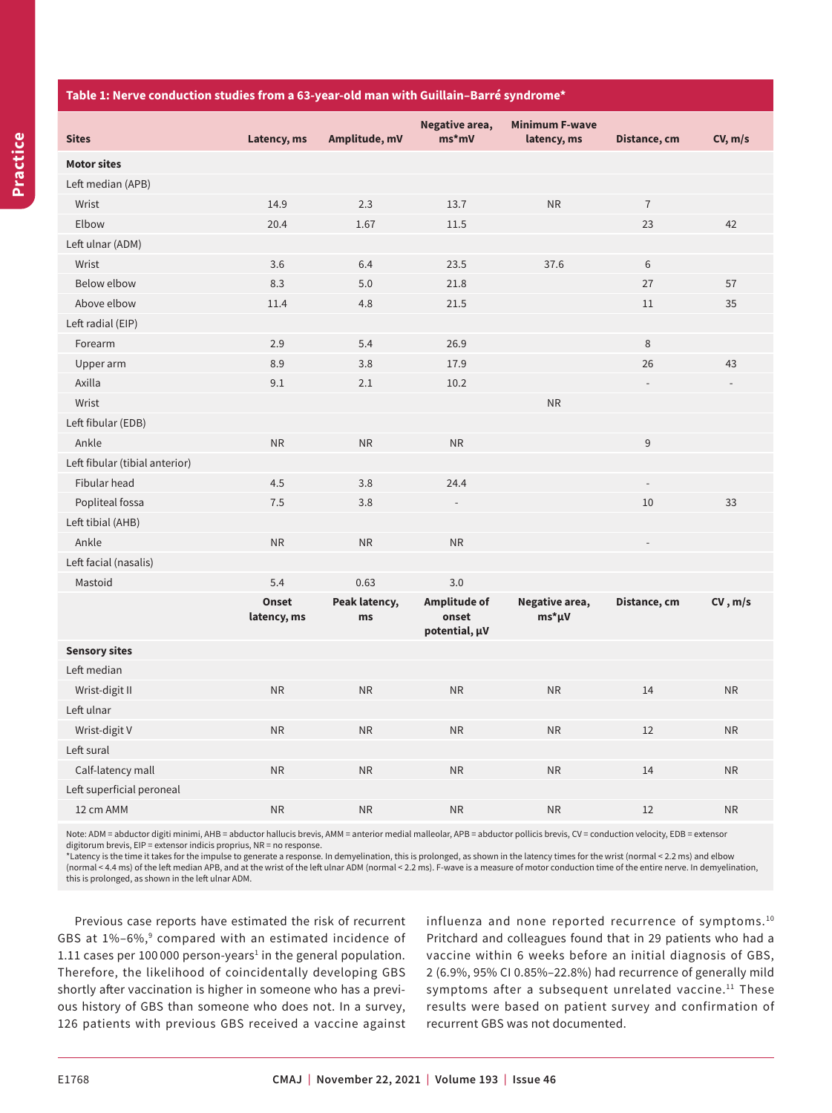#### **Table 1: Nerve conduction studies from a 63-year-old man with Guillain–Barré syndrome\***

| <b>Sites</b>                   | Latency, ms          | Amplitude, mV       | Negative area,<br>$ms*mv$              | <b>Minimum F-wave</b><br>latency, ms | Distance, cm   | CV, m/s   |
|--------------------------------|----------------------|---------------------|----------------------------------------|--------------------------------------|----------------|-----------|
| <b>Motor sites</b>             |                      |                     |                                        |                                      |                |           |
| Left median (APB)              |                      |                     |                                        |                                      |                |           |
| Wrist                          | 14.9                 | 2.3                 | 13.7                                   | <b>NR</b>                            | $\overline{7}$ |           |
| Elbow                          | 20.4                 | 1.67                | 11.5                                   |                                      | 23             | 42        |
| Left ulnar (ADM)               |                      |                     |                                        |                                      |                |           |
| Wrist                          | 3.6                  | 6.4                 | 23.5                                   | 37.6                                 | 6              |           |
| Below elbow                    | 8.3                  | 5.0                 | 21.8                                   |                                      | 27             | 57        |
| Above elbow                    | 11.4                 | 4.8                 | 21.5                                   |                                      | 11             | 35        |
| Left radial (EIP)              |                      |                     |                                        |                                      |                |           |
| Forearm                        | 2.9                  | 5.4                 | 26.9                                   |                                      | 8              |           |
| Upper arm                      | 8.9                  | 3.8                 | 17.9                                   |                                      | 26             | 43        |
| Axilla                         | 9.1                  | 2.1                 | 10.2                                   |                                      |                |           |
| Wrist                          |                      |                     |                                        | <b>NR</b>                            |                |           |
| Left fibular (EDB)             |                      |                     |                                        |                                      |                |           |
| Ankle                          | <b>NR</b>            | <b>NR</b>           | <b>NR</b>                              |                                      | 9              |           |
| Left fibular (tibial anterior) |                      |                     |                                        |                                      |                |           |
| Fibular head                   | 4.5                  | 3.8                 | 24.4                                   |                                      |                |           |
| Popliteal fossa                | 7.5                  | 3.8                 |                                        |                                      | 10             | 33        |
| Left tibial (AHB)              |                      |                     |                                        |                                      |                |           |
| Ankle                          | <b>NR</b>            | <b>NR</b>           | <b>NR</b>                              |                                      |                |           |
| Left facial (nasalis)          |                      |                     |                                        |                                      |                |           |
| Mastoid                        | 5.4                  | 0.63                | 3.0                                    |                                      |                |           |
|                                | Onset<br>latency, ms | Peak latency,<br>ms | Amplitude of<br>onset<br>potential, µV | Negative area,<br>ms*µV              | Distance, cm   | CV, m/s   |
| <b>Sensory sites</b>           |                      |                     |                                        |                                      |                |           |
| Left median                    |                      |                     |                                        |                                      |                |           |
| Wrist-digit II                 | <b>NR</b>            | <b>NR</b>           | NR                                     | <b>NR</b>                            | 14             | <b>NR</b> |
| Left ulnar                     |                      |                     |                                        |                                      |                |           |
| Wrist-digit V                  | <b>NR</b>            | <b>NR</b>           | <b>NR</b>                              | <b>NR</b>                            | 12             | <b>NR</b> |
| Left sural                     |                      |                     |                                        |                                      |                |           |
| Calf-latency mall              | <b>NR</b>            | <b>NR</b>           | <b>NR</b>                              | <b>NR</b>                            | 14             | <b>NR</b> |
| Left superficial peroneal      |                      |                     |                                        |                                      |                |           |
| 12 cm AMM                      | <b>NR</b>            | <b>NR</b>           | <b>NR</b>                              | <b>NR</b>                            | 12             | <b>NR</b> |

Note: ADM = abductor digiti minimi, AHB = abductor hallucis brevis, AMM = anterior medial malleolar, APB = abductor pollicis brevis, CV = conduction velocity, EDB = extensor digitorum brevis, EIP = extensor indicis proprius, NR = no response.

\*Latency is the time it takes for the impulse to generate a response. In demyelination, this is prolonged, as shown in the latency times for the wrist (normal < 2.2 ms) and elbow (normal < 4.4 ms) of the left median APB, and at the wrist of the left ulnar ADM (normal < 2.2 ms). F-wave is a measure of motor conduction time of the entire nerve. In demyelination, this is prolonged, as shown in the left ulnar ADM.

Previous case reports have estimated the risk of recurrent GBS at  $1\%$ –6%, $9$  compared with an estimated incidence of 1.11 cases per 100 000 person-years<sup>1</sup> in the general population. Therefore, the likelihood of coincidentally developing GBS shortly after vaccination is higher in someone who has a previous history of GBS than someone who does not. In a survey, 126 patients with previous GBS received a vaccine against

influenza and none reported recurrence of symptoms.<sup>10</sup> Pritchard and colleagues found that in 29 patients who had a vaccine within 6 weeks before an initial diagnosis of GBS, 2 (6.9%, 95% CI 0.85%–22.8%) had recurrence of generally mild symptoms after a subsequent unrelated vaccine.<sup>11</sup> These results were based on patient survey and confirmation of recurrent GBS was not documented.